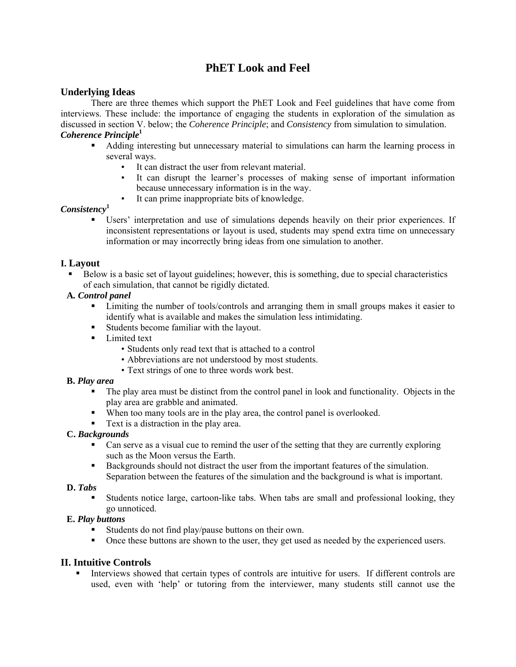# **PhET Look and Feel**

# **Underlying Ideas**

There are three themes which support the PhET Look and Feel guidelines that have come from interviews. These include: the importance of engaging the students in exploration of the simulation as discussed in section V. below; the *Coherence Principle*; and *Consistency* from simulation to simulation. *Coherence Principle***<sup>1</sup>**

- Adding interesting but unnecessary material to simulations can harm the learning process in several ways.
	- It can distract the user from relevant material.
	- It can disrupt the learner's processes of making sense of important information because unnecessary information is in the way.
	- It can prime inappropriate bits of knowledge.

#### *Consistency***<sup>1</sup>**

 Users' interpretation and use of simulations depends heavily on their prior experiences. If inconsistent representations or layout is used, students may spend extra time on unnecessary information or may incorrectly bring ideas from one simulation to another.

#### **I. Layout**

 Below is a basic set of layout guidelines; however, this is something, due to special characteristics of each simulation, that cannot be rigidly dictated.

#### **A***. Control panel*

- Limiting the number of tools/controls and arranging them in small groups makes it easier to identify what is available and makes the simulation less intimidating.
- Students become familiar with the layout.
- **Limited text** 
	- Students only read text that is attached to a control
	- Abbreviations are not understood by most students.
	- Text strings of one to three words work best.

#### **B.** *Play area*

- The play area must be distinct from the control panel in look and functionality. Objects in the play area are grabble and animated.
- When too many tools are in the play area, the control panel is overlooked.
- Text is a distraction in the play area.

#### **C.** *Backgrounds*

- Can serve as a visual cue to remind the user of the setting that they are currently exploring such as the Moon versus the Earth.
- Backgrounds should not distract the user from the important features of the simulation. Separation between the features of the simulation and the background is what is important.

#### **D.** *Tabs*

 Students notice large, cartoon-like tabs. When tabs are small and professional looking, they go unnoticed.

#### **E.** *Play buttons*

- Students do not find play/pause buttons on their own.
- Once these buttons are shown to the user, they get used as needed by the experienced users.

# **II. Intuitive Controls**

 Interviews showed that certain types of controls are intuitive for users. If different controls are used, even with 'help' or tutoring from the interviewer, many students still cannot use the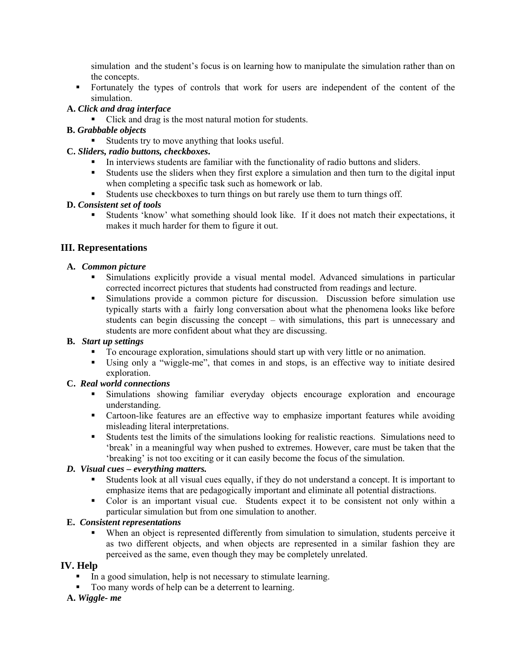simulation and the student's focus is on learning how to manipulate the simulation rather than on the concepts.

 Fortunately the types of controls that work for users are independent of the content of the simulation.

# **A.** *Click and drag interface*

• Click and drag is the most natural motion for students.

#### **B.** *Grabbable objects*

Students try to move anything that looks useful.

#### **C.** *Sliders, radio buttons, checkboxes***.**

- In interviews students are familiar with the functionality of radio buttons and sliders.
- Students use the sliders when they first explore a simulation and then turn to the digital input when completing a specific task such as homework or lab.
- Students use checkboxes to turn things on but rarely use them to turn things off.

#### **D.** *Consistent set of tools*

 Students 'know' what something should look like. If it does not match their expectations, it makes it much harder for them to figure it out.

# **III. Representations**

#### **A.** *Common picture*

- Simulations explicitly provide a visual mental model. Advanced simulations in particular corrected incorrect pictures that students had constructed from readings and lecture.
- Simulations provide a common picture for discussion. Discussion before simulation use typically starts with a fairly long conversation about what the phenomena looks like before students can begin discussing the concept – with simulations, this part is unnecessary and students are more confident about what they are discussing.

# **B.** *Start up settings*

- To encourage exploration, simulations should start up with very little or no animation.
- Using only a "wiggle-me", that comes in and stops, is an effective way to initiate desired exploration.

# **C.** *Real world connections*

- Simulations showing familiar everyday objects encourage exploration and encourage understanding.
- Cartoon-like features are an effective way to emphasize important features while avoiding misleading literal interpretations.
- Students test the limits of the simulations looking for realistic reactions. Simulations need to 'break' in a meaningful way when pushed to extremes. However, care must be taken that the 'breaking' is not too exciting or it can easily become the focus of the simulation.

# *D. Visual cues – everything matters.*

- Students look at all visual cues equally, if they do not understand a concept. It is important to emphasize items that are pedagogically important and eliminate all potential distractions.
- Color is an important visual cue. Students expect it to be consistent not only within a particular simulation but from one simulation to another.

# **E.** *Consistent representations*

 When an object is represented differently from simulation to simulation, students perceive it as two different objects, and when objects are represented in a similar fashion they are perceived as the same, even though they may be completely unrelated.

# **IV. Help**

- In a good simulation, help is not necessary to stimulate learning.
- Too many words of help can be a deterrent to learning.

#### **A.** *Wiggle- me*